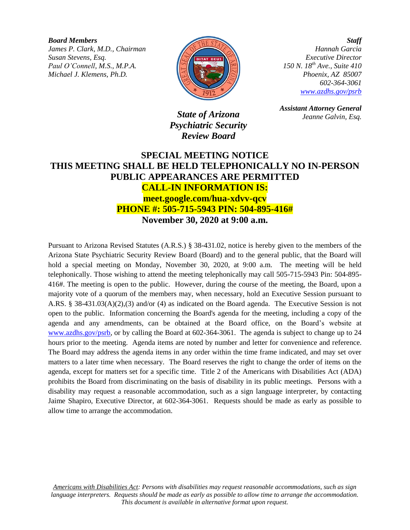*Board Members James P. Clark, M.D., Chairman Susan Stevens, Esq. Paul O'Connell, M.S., M.P.A. Michael J. Klemens, Ph.D.*



*Staff Hannah Garcia Executive Director 150 N. 18th Ave., Suite 410 Phoenix, AZ 85007 602-364-3061 [www.azdhs.gov/psrb](http://www.azdhs.gov/psrb)*

*State of Arizona Psychiatric Security Review Board*

*Assistant Attorney General Jeanne Galvin, Esq.*

## **SPECIAL MEETING NOTICE THIS MEETING SHALL BE HELD TELEPHONICALLY NO IN-PERSON PUBLIC APPEARANCES ARE PERMITTED CALL-IN INFORMATION IS: meet.google.com/hua-xdvv-qcv PHONE #: 505-715-5943 PIN: 504-895-416# November 30, 2020 at 9:00 a.m.**

Pursuant to Arizona Revised Statutes (A.R.S.) § 38-431.02, notice is hereby given to the members of the Arizona State Psychiatric Security Review Board (Board) and to the general public, that the Board will hold a special meeting on Monday, November 30, 2020, at 9:00 a.m. The meeting will be held telephonically. Those wishing to attend the meeting telephonically may call 505-715-5943 Pin: 504-895- 416#. The meeting is open to the public. However, during the course of the meeting, the Board, upon a majority vote of a quorum of the members may, when necessary, hold an Executive Session pursuant to A.RS. § 38-431.03(A)(2),(3) and/or (4) as indicated on the Board agenda. The Executive Session is not open to the public. Information concerning the Board's agenda for the meeting, including a copy of the agenda and any amendments, can be obtained at the Board office, on the Board's website at [www.azdhs.gov/psrb,](http://www.azdhs.gov/psrb) or by calling the Board at 602-364-3061. The agenda is subject to change up to 24 hours prior to the meeting. Agenda items are noted by number and letter for convenience and reference. The Board may address the agenda items in any order within the time frame indicated, and may set over matters to a later time when necessary. The Board reserves the right to change the order of items on the agenda, except for matters set for a specific time. Title 2 of the Americans with Disabilities Act (ADA) prohibits the Board from discriminating on the basis of disability in its public meetings. Persons with a disability may request a reasonable accommodation, such as a sign language interpreter, by contacting Jaime Shapiro, Executive Director, at 602-364-3061. Requests should be made as early as possible to allow time to arrange the accommodation.